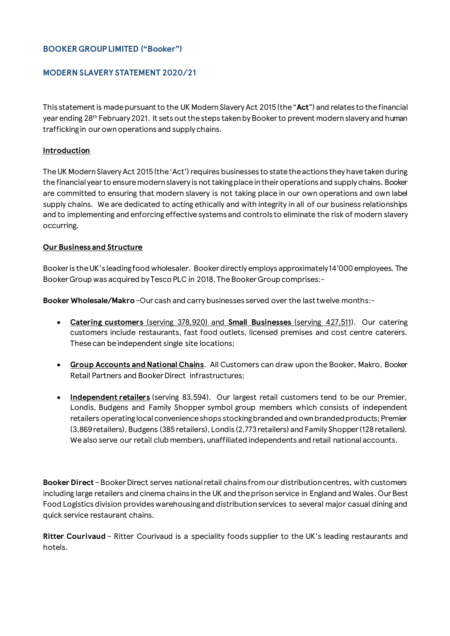# **BOOKER GROUP LIMITED ("Booker")**

# **MODERN SLAVERY STATEMENT 2020/21**

This statement is made pursuant to the UK Modern Slavery Act 2015 (the "**Act**") and relates to the financial year ending 28<sup>th</sup> February 2021. It sets out the steps taken by Booker to prevent modern slavery and human trafficking in our own operations and supply chains.

### **Introduction**

The UK Modern Slavery Act 2015 (the 'Act') requires businesses to state the actions they have taken during thefinancial year to ensure modern slavery is not taking place intheir operations and supply chains. Booker are committed to ensuring that modern slavery is not taking place in our own operations and own label supply chains. We are dedicated to acting ethically and with integrity in all of our business relationships and to implementing and enforcing effective systems and controls to eliminate the risk of modern slavery occurring.

### **Our Business and Structure**

Booker is the UK's leading food wholesaler. Booker directly employs approximately 14'000 employees. The BookerGroup was acquired by Tesco PLC in 2018. The Booker Group comprises:-

**Booker Wholesale/Makro**–Our cash and carry businesses served over the last twelve months:-

- **Catering customers** (serving 378,920) and **Small Businesses** (serving 427,511). Our catering customers include restaurants, fast food outlets, licensed premises and cost centre caterers. These can be independent single site locations;
- **Group Accounts and National Chains**. All Customers can draw upon the Booker, Makro, Booker Retail Partners and Booker Direct infrastructures;
- **Independent retailers** (serving 83,594). Our largest retail customers tend to be our Premier, Londis, Budgens and Family Shopper symbol group members which consists of independent retailers operating local convenience shops stocking branded and own branded products; Premier (3,869 retailers), Budgens (385 retailers), Londis (2,773 retailers) and Family Shopper (128 retailers). We also serve our retail club members, unaffiliated independents and retail national accounts.

**Booker Direct** –Booker Direct serves national retail chains from our distribution centres, with customers including large retailers and cinema chains in the UK and the prison service in England and Wales. Our Best Food Logistics division provides warehousing and distribution services to several major casual dining and quick service restaurant chains.

**Ritter Courivaud** – Ritter Courivaud is a speciality foods supplier to the UK's leading restaurants and hotels.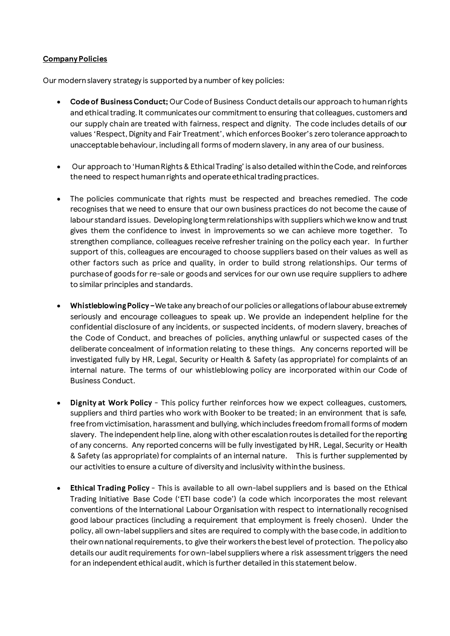### **Company Policies**

Our modern slavery strategy is supported by a number of key policies:

- **Code of Business Conduct;** Our Code of Business Conduct details our approach to human rights and ethical trading. It communicates our commitment to ensuring that colleagues, customers and our supply chain are treated with fairness, respect and dignity. The code includes details of our values 'Respect, Dignity and Fair Treatment', which enforces Booker's zero tolerance approach to unacceptable behaviour, including all forms of modern slavery, in any area of our business.
- Our approach to 'Human Rights & Ethical Trading' is also detailed within the Code, and reinforces the need to respect human rights and operate ethical trading practices.
- The policies communicate that rights must be respected and breaches remedied. The code recognises that we need to ensure that our own business practices do not become the cause of labour standard issues. Developing long term relationships with suppliers which we know and trust gives them the confidence to invest in improvements so we can achieve more together. To strengthen compliance, colleagues receive refresher training on the policy each year. In further support of this, colleagues are encouraged to choose suppliers based on their values as well as other factors such as price and quality, in order to build strong relationships. Our terms of purchase of goods for re-sale or goods and services for our own use require suppliers to adhere to similar principles and standards.
- **Whistleblowing Policy –**We take any breach of our policies or allegations of labour abuse extremely seriously and encourage colleagues to speak up. We provide an independent helpline for the confidential disclosure of any incidents, or suspected incidents, of modern slavery, breaches of the Code of Conduct, and breaches of policies, anything unlawful or suspected cases of the deliberate concealment of information relating to these things. Any concerns reported will be investigated fully by HR, Legal, Security or Health & Safety (as appropriate) for complaints of an internal nature. The terms of our whistleblowing policy are incorporated within our Code of Business Conduct.
- **Dignity at Work Policy**  This policy further reinforces how we expect colleagues, customers, suppliers and third parties who work with Booker to be treated; in an environment that is safe, free from victimisation, harassment and bullying, which includes freedom from all forms of modern slavery. The independent help line, along with other escalation routes is detailed for the reporting of any concerns. Any reported concerns will be fully investigated by HR, Legal, Security or Health & Safety (as appropriate) for complaints of an internal nature. This is further supplemented by our activities to ensure a culture of diversity and inclusivity within the business.
- **Ethical Trading Policy** This is available to all own-label suppliers and is based on the Ethical Trading Initiative Base Code ('ETI base code') (a code which incorporates the most relevant conventions of the International Labour Organisation with respect to internationally recognised good labour practices (including a requirement that employment is freely chosen). Under the policy, all own-label suppliers and sites are required to comply with the base code, in addition to their own national requirements, to give their workers the best level of protection. The policy also details our audit requirements for own-label suppliers where a risk assessment triggers the need for an independent ethical audit, which is further detailed in this statement below.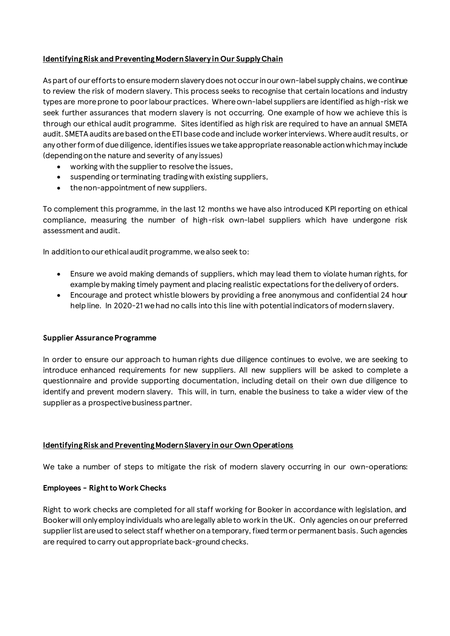## **Identifying Risk and Preventing Modern Slavery in Our Supply Chain**

As part of our efforts to ensure modern slavery does not occur in our own-label supply chains, wecontinue to review the risk of modern slavery. This process seeks to recognise that certain locations and industry types are more prone to poor labour practices. Where own-label suppliers are identified as high-risk we seek further assurances that modern slavery is not occurring. One example of how we achieve this is through our ethical audit programme. Sites identified as high risk are required to have an annual SMETA audit. SMETA audits are based on the ETI base code and include worker interviews. Where audit results, or any other form of due diligence, identifies issues we take appropriate reasonable action which may include (depending on the nature and severity of any issues)

- working with the supplier to resolve the issues,
- suspending or terminating trading with existing suppliers,
- the non-appointment of new suppliers.

To complement this programme, in the last 12 months we have also introduced KPI reporting on ethical compliance, measuring the number of high-risk own-label suppliers which have undergone risk assessment and audit.

In addition to our ethical audit programme, we also seek to:

- Ensure we avoid making demands of suppliers, which may lead them to violate human rights, for example by making timely payment and placing realistic expectations for the delivery of orders.
- Encourage and protect whistle blowers by providing a free anonymous and confidential 24 hour help line. In 2020-21 we had no calls into this line with potential indicators of modern slavery.

#### **Supplier Assurance Programme**

In order to ensure our approach to human rights due diligence continues to evolve, we are seeking to introduce enhanced requirements for new suppliers. All new suppliers will be asked to complete a questionnaire and provide supporting documentation, including detail on their own due diligence to identify and prevent modern slavery. This will, in turn, enable the business to take a wider view of the supplier as a prospective business partner.

## **Identifying Risk and Preventing Modern Slavery in our Own Operations**

We take a number of steps to mitigate the risk of modern slavery occurring in our own-operations:

## **Employees - Right to Work Checks**

Right to work checks are completed for all staff working for Booker in accordance with legislation, and Booker will only employ individuals who are legally able to work in the UK. Only agencies on our preferred supplier list are used to select staff whether on a temporary, fixed term or permanent basis. Such agencies are required to carry out appropriate back-ground checks.